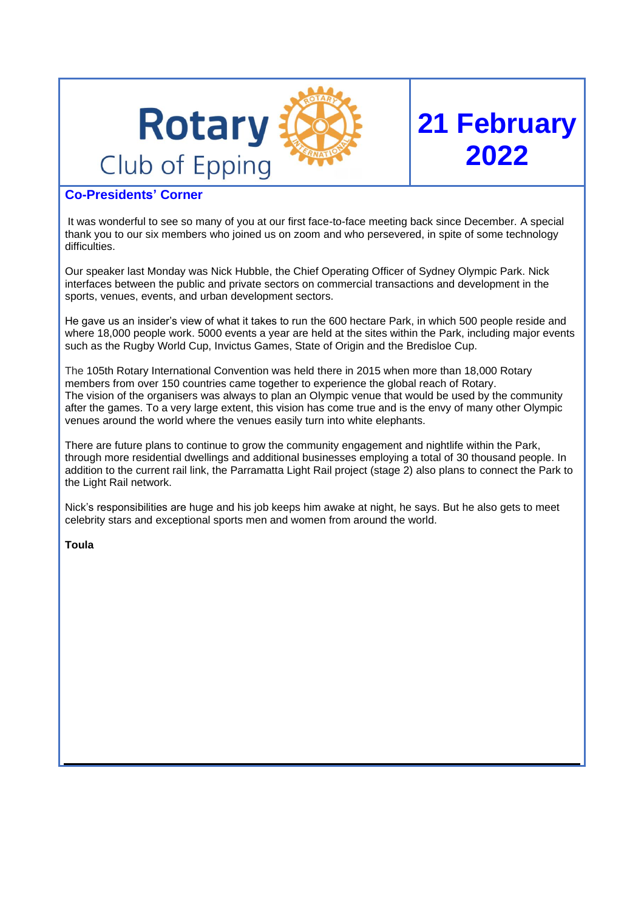

# **Co-Presidents' Corner**

It was wonderful to see so many of you at our first face-to-face meeting back since December. A special thank you to our six members who joined us on zoom and who persevered, in spite of some technology difficulties.

**21 February**

**2022**

Our speaker last Monday was Nick Hubble, the Chief Operating Officer of Sydney Olympic Park. Nick interfaces between the public and private sectors on commercial transactions and development in the sports, venues, events, and urban development sectors.

He gave us an insider's view of what it takes to run the 600 hectare Park, in which 500 people reside and where 18,000 people work. 5000 events a year are held at the sites within the Park, including major events such as the Rugby World Cup, Invictus Games, State of Origin and the Bredisloe Cup.

The 105th Rotary International Convention was held there in 2015 when more than 18,000 Rotary members from over 150 countries came together to experience the global reach of Rotary. The vision of the organisers was always to plan an Olympic venue that would be used by the community after the games. To a very large extent, this vision has come true and is the envy of many other Olympic venues around the world where the venues easily turn into white elephants.

There are future plans to continue to grow the community engagement and nightlife within the Park, through more residential dwellings and additional businesses employing a total of 30 thousand people. In addition to the current rail link, the Parramatta Light Rail project (stage 2) also plans to connect the Park to the Light Rail network.

Nick's responsibilities are huge and his job keeps him awake at night, he says. But he also gets to meet celebrity stars and exceptional sports men and women from around the world.

**Toula**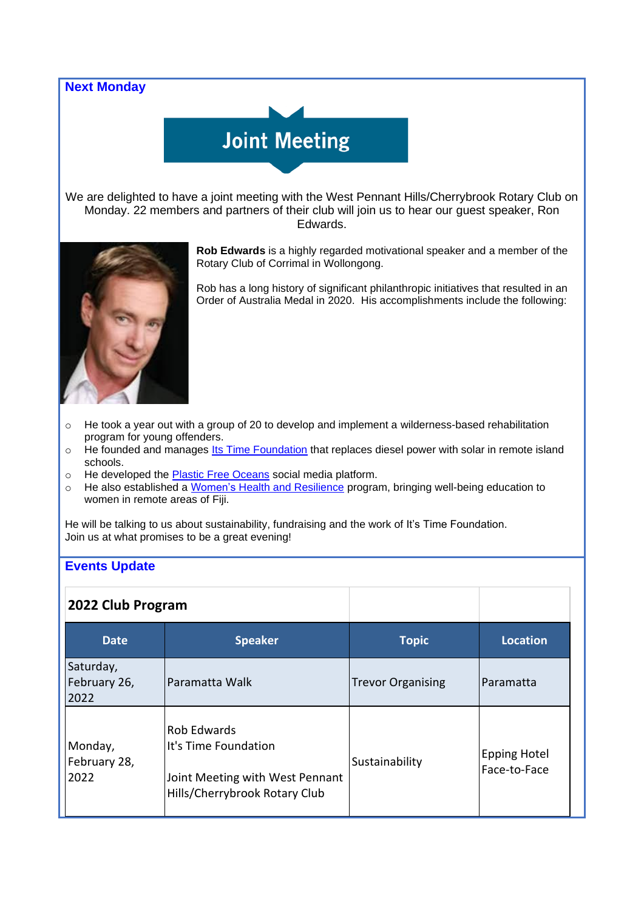# **Next Monday**

# **Joint Meeting**

We are delighted to have a joint meeting with the West Pennant Hills/Cherrybrook Rotary Club on Monday. 22 members and partners of their club will join us to hear our guest speaker, Ron Edwards.



**Rob Edwards** is a highly regarded motivational speaker and a member of the Rotary Club of Corrimal in Wollongong.

Rob has a long history of significant philanthropic initiatives that resulted in an Order of Australia Medal in 2020. His accomplishments include the following:

- $\circ$  He took a year out with a group of 20 to develop and implement a wilderness-based rehabilitation program for young offenders.
- o He founded and manages Its Time [Foundation](https://iitime.org/) that replaces diesel power with solar in remote island schools.
- o He developed the Plastic Free [Oceans](https://plasticfreeoceans.org/) social media platform.
- o He also established a Women's Health and [Resilience](http://healthyresilient.com/) program, bringing well-being education to women in remote areas of Fiji.

He will be talking to us about sustainability, fundraising and the work of It's Time Foundation. Join us at what promises to be a great evening!

## **Events Update**

| 2022 Club Program                 |                                                                                                         |                          |                                     |
|-----------------------------------|---------------------------------------------------------------------------------------------------------|--------------------------|-------------------------------------|
| <b>Date</b>                       | <b>Speaker</b>                                                                                          | <b>Topic</b>             | <b>Location</b>                     |
| Saturday,<br>February 26,<br>2022 | Paramatta Walk                                                                                          | <b>Trevor Organising</b> | Paramatta                           |
| Monday,<br>February 28,<br>2022   | Rob Edwards<br>It's Time Foundation<br>Joint Meeting with West Pennant<br>Hills/Cherrybrook Rotary Club | Sustainability           | <b>Epping Hotel</b><br>Face-to-Face |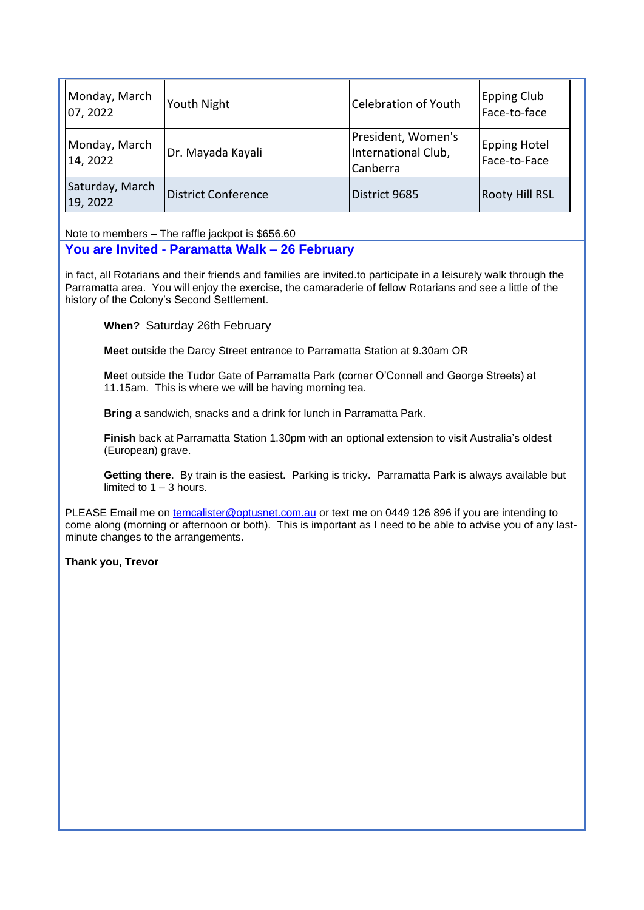| Monday, March<br>07, 2022   | Youth Night                | Celebration of Youth                                  | Epping Club<br>Face-to-face         |
|-----------------------------|----------------------------|-------------------------------------------------------|-------------------------------------|
| Monday, March<br>14, 2022   | Dr. Mayada Kayali          | President, Women's<br>International Club,<br>Canberra | <b>Epping Hotel</b><br>Face-to-Face |
| Saturday, March<br>19, 2022 | <b>District Conference</b> | District 9685                                         | <b>Rooty Hill RSL</b>               |

Note to members – The raffle jackpot is \$656.60

# **You are Invited - Paramatta Walk – 26 February**

in fact, all Rotarians and their friends and families are invited.to participate in a leisurely walk through the Parramatta area. You will enjoy the exercise, the camaraderie of fellow Rotarians and see a little of the history of the Colony's Second Settlement.

**When?** Saturday 26th February

**Meet** outside the Darcy Street entrance to Parramatta Station at 9.30am OR

**Mee**t outside the Tudor Gate of Parramatta Park (corner O'Connell and George Streets) at 11.15am. This is where we will be having morning tea.

**Bring** a sandwich, snacks and a drink for lunch in Parramatta Park.

**Finish** back at Parramatta Station 1.30pm with an optional extension to visit Australia's oldest (European) grave.

**Getting there**. By train is the easiest. Parking is tricky. Parramatta Park is always available but limited to  $1 - 3$  hours.

PLEASE Email me on [temcalister@optusnet.com.au](mailto:temcalister@optusnet.com.au) or text me on 0449 126 896 if you are intending to come along (morning or afternoon or both). This is important as I need to be able to advise you of any lastminute changes to the arrangements.

**Thank you, Trevor**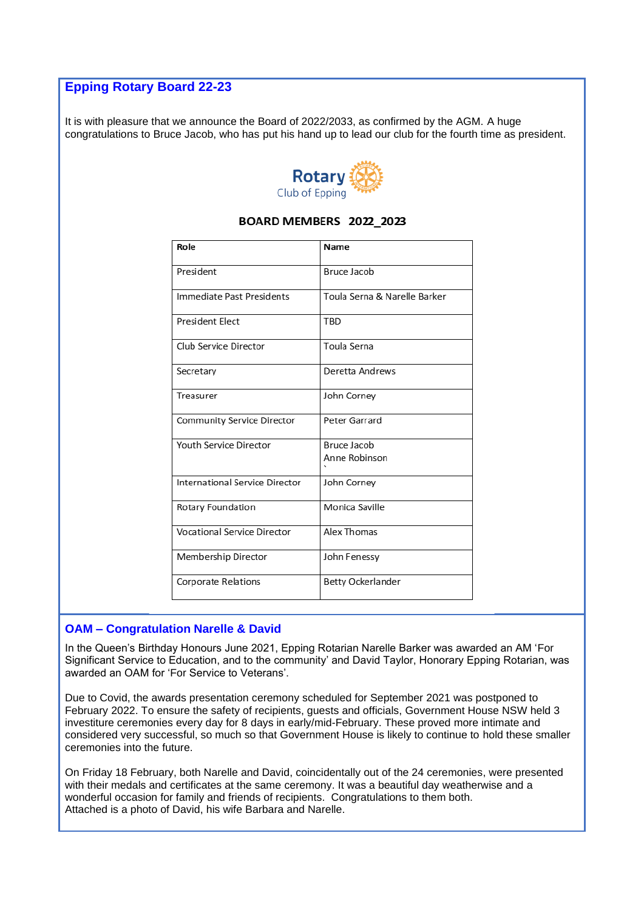# **Epping Rotary Board 22-23**

It is with pleasure that we announce the Board of 2022/2033, as confirmed by the AGM. A huge congratulations to Bruce Jacob, who has put his hand up to lead our club for the fourth time as president.



#### Role Name President Bruce Jacob Immediate Past Presidents Toula Serna & Narelle Barker President Elect TRD Club Service Director Toula Serna Deretta Andrews Secretary Treasurer John Corney **Community Service Director** Peter Garrard **Youth Service Director Bruce Jacob** Anne Robinson International Service Director John Corney Rotary Foundation Monica Saville **Vocational Service Director** Alex Thomas Membership Director John Fenessy Corporate Relations Betty Ockerlander

# BOARD MEMBERS 2022 2023

## **OAM – Congratulation Narelle & David**

In the Queen's Birthday Honours June 2021, Epping Rotarian Narelle Barker was awarded an AM 'For Significant Service to Education, and to the community' and David Taylor, Honorary Epping Rotarian, was awarded an OAM for 'For Service to Veterans'.

Due to Covid, the awards presentation ceremony scheduled for September 2021 was postponed to February 2022. To ensure the safety of recipients, guests and officials, Government House NSW held 3 investiture ceremonies every day for 8 days in early/mid-February. These proved more intimate and considered very successful, so much so that Government House is likely to continue to hold these smaller ceremonies into the future.

On Friday 18 February, both Narelle and David, coincidentally out of the 24 ceremonies, were presented with their medals and certificates at the same ceremony. It was a beautiful day weatherwise and a wonderful occasion for family and friends of recipients. Congratulations to them both. Attached is a photo of David, his wife Barbara and Narelle.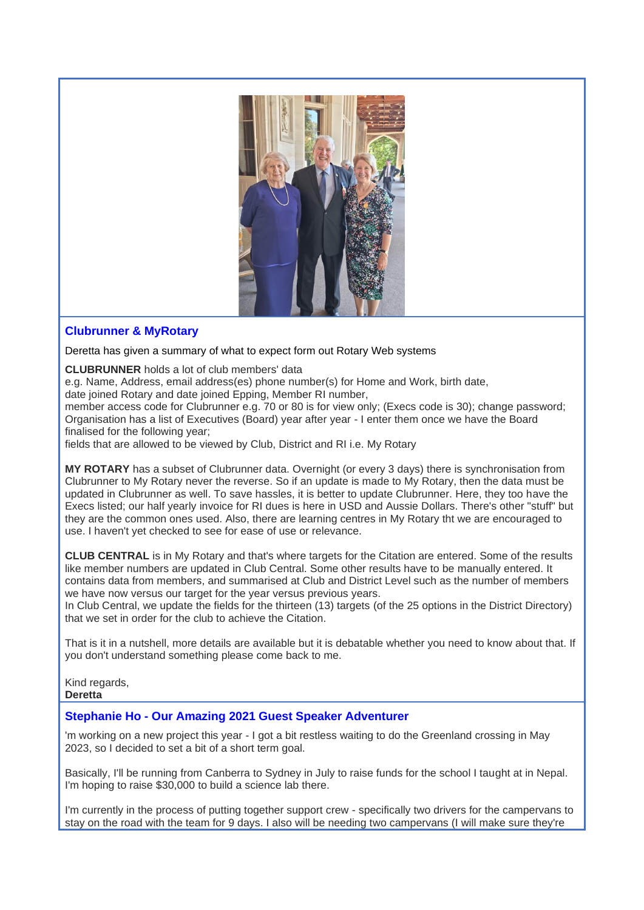

## **Clubrunner & MyRotary**

#### Deretta has given a summary of what to expect form out Rotary Web systems

**CLUBRUNNER** holds a lot of club members' data

e.g. Name, Address, email address(es) phone number(s) for Home and Work, birth date,

date joined Rotary and date joined Epping, Member RI number,

member access code for Clubrunner e.g. 70 or 80 is for view only; (Execs code is 30); change password; Organisation has a list of Executives (Board) year after year - I enter them once we have the Board finalised for the following year;

fields that are allowed to be viewed by Club, District and RI i.e. My Rotary

**MY ROTARY** has a subset of Clubrunner data. Overnight (or every 3 days) there is synchronisation from Clubrunner to My Rotary never the reverse. So if an update is made to My Rotary, then the data must be updated in Clubrunner as well. To save hassles, it is better to update Clubrunner. Here, they too have the Execs listed; our half yearly invoice for RI dues is here in USD and Aussie Dollars. There's other "stuff" but they are the common ones used. Also, there are learning centres in My Rotary tht we are encouraged to use. I haven't yet checked to see for ease of use or relevance.

**CLUB CENTRAL** is in My Rotary and that's where targets for the Citation are entered. Some of the results like member numbers are updated in Club Central. Some other results have to be manually entered. It contains data from members, and summarised at Club and District Level such as the number of members we have now versus our target for the year versus previous years.

In Club Central, we update the fields for the thirteen (13) targets (of the 25 options in the District Directory) that we set in order for the club to achieve the Citation.

That is it in a nutshell, more details are available but it is debatable whether you need to know about that. If you don't understand something please come back to me.

Kind regards, **Deretta**

## **Stephanie Ho - Our Amazing 2021 Guest Speaker Adventurer**

'm working on a new project this year - I got a bit restless waiting to do the Greenland crossing in May 2023, so I decided to set a bit of a short term goal.

Basically, I'll be running from Canberra to Sydney in July to raise funds for the school I taught at in Nepal. I'm hoping to raise \$30,000 to build a science lab there.

I'm currently in the process of putting together support crew - specifically two drivers for the campervans to stay on the road with the team for 9 days. I also will be needing two campervans (I will make sure they're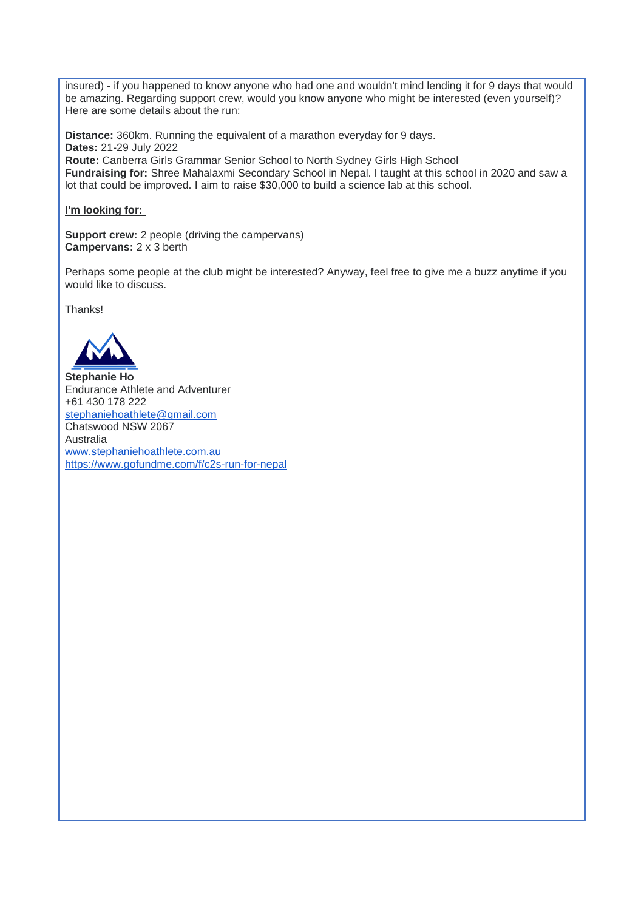insured) - if you happened to know anyone who had one and wouldn't mind lending it for 9 days that would be amazing. Regarding support crew, would you know anyone who might be interested (even yourself)? Here are some details about the run:

**Distance:** 360km. Running the equivalent of a marathon everyday for 9 days. **Dates:** 21-29 July 2022 **Route:** Canberra Girls Grammar Senior School to North Sydney Girls High School **Fundraising for:** Shree Mahalaxmi Secondary School in Nepal. I taught at this school in 2020 and saw a lot that could be improved. I aim to raise \$30,000 to build a science lab at this school.

#### **I'm looking for:**

**Support crew:** 2 people (driving the campervans) **Campervans:** 2 x 3 berth

Perhaps some people at the club might be interested? Anyway, feel free to give me a buzz anytime if you would like to discuss.

Thanks!



**Stephanie Ho** Endurance Athlete and Adventurer +61 430 178 222 [stephaniehoathlete@gmail.com](mailto:stephaniehoathlete@gmail.com) Chatswood NSW 2067 Australia [www.stephaniehoathlete.com.au](https://www.stephaniehoathlete.com.au/) <https://www.gofundme.com/f/c2s-run-for-nepal>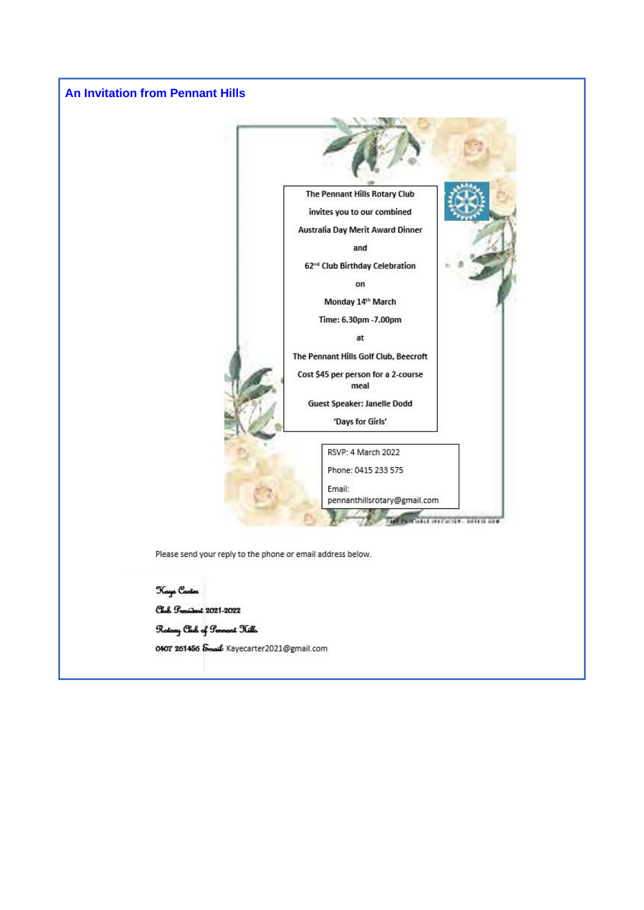